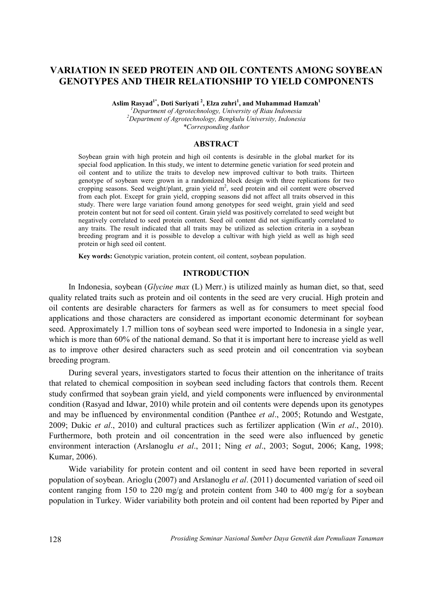# **VARIATION IN SEED PROTEIN AND OIL CONTENTS AMONG SOYBEAN GENOTYPES AND THEIR RELATIONSHIP TO YIELD COMPONENTS**

**Aslim Rasyad1\* , Doti Suriyati <sup>2</sup> , Elza zuhri<sup>1</sup> , and Muhammad Hamzah<sup>1</sup>**

*<sup>1</sup>Department of Agrotechnology, University of Riau Indonesia <sup>2</sup>Department of Agrotechnology, Bengkulu University, Indonesia \*Corresponding Author*

### **ABSTRACT**

Soybean grain with high protein and high oil contents is desirable in the global market for its special food application. In this study, we intent to determine genetic variation for seed protein and oil content and to utilize the traits to develop new improved cultivar to both traits. Thirteen genotype of soybean were grown in a randomized block design with three replications for two cropping seasons. Seed weight/plant, grain yield m<sup>2</sup>, seed protein and oil content were observed from each plot. Except for grain yield, cropping seasons did not affect all traits observed in this study. There were large variation found among genotypes for seed weight, grain yield and seed protein content but not for seed oil content. Grain yield was positively correlated to seed weight but negatively correlated to seed protein content. Seed oil content did not significantly correlated to any traits. The result indicated that all traits may be utilized as selection criteria in a soybean breeding program and it is possible to develop a cultivar with high yield as well as high seed protein or high seed oil content.

**Key words:** Genotypic variation, protein content, oil content, soybean population.

# **INTRODUCTION**

In Indonesia, soybean (*Glycine max* (L) Merr.) is utilized mainly as human diet, so that, seed quality related traits such as protein and oil contents in the seed are very crucial. High protein and oil contents are desirable characters for farmers as well as for consumers to meet special food applications and those characters are considered as important economic determinant for soybean seed. Approximately 1.7 million tons of soybean seed were imported to Indonesia in a single year, which is more than 60% of the national demand. So that it is important here to increase yield as well as to improve other desired characters such as seed protein and oil concentration via soybean breeding program.

During several years, investigators started to focus their attention on the inheritance of traits that related to chemical composition in soybean seed including factors that controls them. Recent study confirmed that soybean grain yield, and yield components were influenced by environmental condition (Rasyad and Idwar, 2010) while protein and oil contents were depends upon its genotypes and may be influenced by environmental condition (Panthee *et al*., 2005; Rotundo and Westgate, 2009; Dukic *et al*., 2010) and cultural practices such as fertilizer application (Win *et al*., 2010). Furthermore, both protein and oil concentration in the seed were also influenced by genetic environment interaction (Arslanoglu *et al*., 2011; Ning *et al*., 2003; Sogut, 2006; Kang, 1998; Kumar, 2006).

Wide variability for protein content and oil content in seed have been reported in several population of soybean. Arioglu (2007) and Arslanoglu *et al*. (2011) documented variation of seed oil content ranging from 150 to 220 mg/g and protein content from 340 to 400 mg/g for a soybean population in Turkey. Wider variability both protein and oil content had been reported by Piper and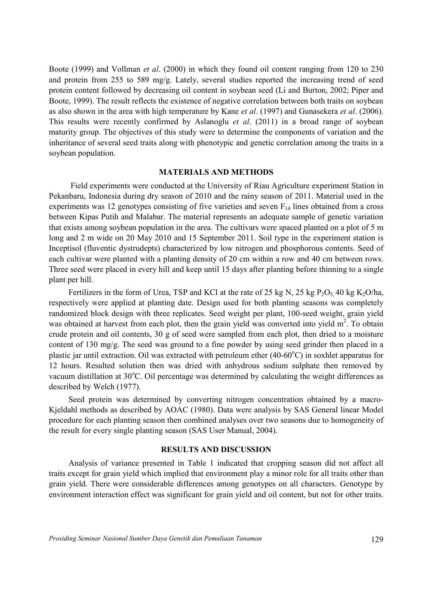Boote (1999) and Vollman *et al*. (2000) in which they found oil content ranging from 120 to 230 and protein from 255 to 589 mg/g. Lately, several studies reported the increasing trend of seed protein content followed by decreasing oil content in soybean seed (Li and Burton, 2002; Piper and Boote, 1999). The result reflects the existence of negative correlation between both traits on soybean as also shown in the area with high temperature by Kane *et al*. (1997) and Gunasekera *et al*. (2006). This results were recently confirmed by Aslanoglu *et al*. (2011) in a broad range of soybean maturity group. The objectives of this study were to determine the components of variation and the inheritance of several seed traits along with phenotypic and genetic correlation among the traits in a soybean population.

#### **MATERIALS AND METHODS**

Field experiments were conducted at the University of Riau Agriculture experiment Station in Pekanbaru, Indonesia during dry season of 2010 and the rainy season of 2011. Material used in the experiments was 12 genotypes consisting of five varieties and seven  $F_{14}$  lines obtained from a cross between Kipas Putih and Malabar. The material represents an adequate sample of genetic variation that exists among soybean population in the area. The cultivars were spaced planted on a plot of 5 m long and 2 m wide on 20 May 2010 and 15 September 2011. Soil type in the experiment station is Inceptisol (fluventic dystrudepts) characterized by low nitrogen and phosphorous contents. Seed of each cultivar were planted with a planting density of 20 cm within a row and 40 cm between rows. Three seed were placed in every hill and keep until 15 days after planting before thinning to a single plant per hill.

Fertilizers in the form of Urea, TSP and KCl at the rate of 25 kg N, 25 kg  $P_2O_5$ , 40 kg K<sub>2</sub>O/ha, respectively were applied at planting date. Design used for both planting seasons was completely randomized block design with three replicates. Seed weight per plant, 100-seed weight, grain yield was obtained at harvest from each plot, then the grain yield was converted into yield  $m^2$ . To obtain crude protein and oil contents, 30 g of seed were sampled from each plot, then dried to a moisture content of 130 mg/g. The seed was ground to a fine powder by using seed grinder then placed in a plastic jar until extraction. Oil was extracted with petroleum ether  $(40-60^{\circ}C)$  in soxhlet apparatus for 12 hours. Resulted solution then was dried with anhydrous sodium sulphate then removed by vacuum distillation at  $30^{\circ}$ C. Oil percentage was determined by calculating the weight differences as described by Welch (1977).

Seed protein was determined by converting nitrogen concentration obtained by a macro-Kjeldahl methods as described by AOAC (1980). Data were analysis by SAS General linear Model procedure for each planting season then combined analyses over two seasons due to homogeneity of the result for every single planting season (SAS User Manual, 2004).

# **RESULTS AND DISCUSSION**

Analysis of variance presented in Table 1 indicated that cropping season did not affect all traits except for grain yield which implied that environment play a minor role for all traits other than grain yield. There were considerable differences among genotypes on all characters. Genotype by environment interaction effect was significant for grain yield and oil content, but not for other traits.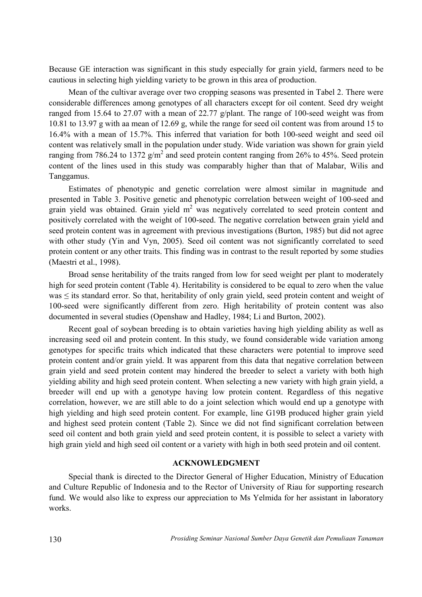Because GE interaction was significant in this study especially for grain yield, farmers need to be cautious in selecting high yielding variety to be grown in this area of production.

Mean of the cultivar average over two cropping seasons was presented in Tabel 2. There were considerable differences among genotypes of all characters except for oil content. Seed dry weight ranged from 15.64 to 27.07 with a mean of 22.77 g/plant. The range of 100-seed weight was from 10.81 to 13.97 g with aa mean of 12.69 g, while the range for seed oil content was from around 15 to 16.4% with a mean of 15.7%. This inferred that variation for both 100-seed weight and seed oil content was relatively small in the population under study. Wide variation was shown for grain yield ranging from 786.24 to 1372  $g/m^2$  and seed protein content ranging from 26% to 45%. Seed protein content of the lines used in this study was comparably higher than that of Malabar, Wilis and Tanggamus.

Estimates of phenotypic and genetic correlation were almost similar in magnitude and presented in Table 3. Positive genetic and phenotypic correlation between weight of 100-seed and grain yield was obtained. Grain yield  $m<sup>2</sup>$  was negatively correlated to seed protein content and positively correlated with the weight of 100-seed. The negative correlation between grain yield and seed protein content was in agreement with previous investigations (Burton, 1985) but did not agree with other study (Yin and Vyn, 2005). Seed oil content was not significantly correlated to seed protein content or any other traits. This finding was in contrast to the result reported by some studies (Maestri et al., 1998).

Broad sense heritability of the traits ranged from low for seed weight per plant to moderately high for seed protein content (Table 4). Heritability is considered to be equal to zero when the value was ≤ its standard error. So that, heritability of only grain yield, seed protein content and weight of 100-seed were significantly different from zero. High heritability of protein content was also documented in several studies (Openshaw and Hadley, 1984; Li and Burton, 2002).

Recent goal of soybean breeding is to obtain varieties having high yielding ability as well as increasing seed oil and protein content. In this study, we found considerable wide variation among genotypes for specific traits which indicated that these characters were potential to improve seed protein content and/or grain yield. It was apparent from this data that negative correlation between grain yield and seed protein content may hindered the breeder to select a variety with both high yielding ability and high seed protein content. When selecting a new variety with high grain yield, a breeder will end up with a genotype having low protein content. Regardless of this negative correlation, however, we are still able to do a joint selection which would end up a genotype with high yielding and high seed protein content. For example, line G19B produced higher grain yield and highest seed protein content (Table 2). Since we did not find significant correlation between seed oil content and both grain yield and seed protein content, it is possible to select a variety with high grain yield and high seed oil content or a variety with high in both seed protein and oil content.

# **ACKNOWLEDGMENT**

Special thank is directed to the Director General of Higher Education, Ministry of Education and Culture Republic of Indonesia and to the Rector of University of Riau for supporting research fund. We would also like to express our appreciation to Ms Yelmida for her assistant in laboratory works.